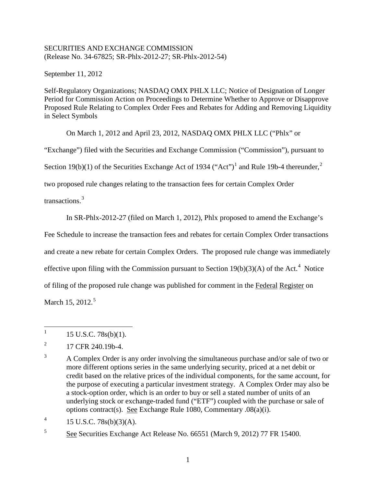## SECURITIES AND EXCHANGE COMMISSION (Release No. 34-67825; SR-Phlx-2012-27; SR-Phlx-2012-54)

September 11, 2012

Self-Regulatory Organizations; NASDAQ OMX PHLX LLC; Notice of Designation of Longer Period for Commission Action on Proceedings to Determine Whether to Approve or Disapprove Proposed Rule Relating to Complex Order Fees and Rebates for Adding and Removing Liquidity in Select Symbols

On March 1, 2012 and April 23, 2012, NASDAQ OMX PHLX LLC ("Phlx" or

"Exchange") filed with the Securities and Exchange Commission ("Commission"), pursuant to

Section [1](#page-0-0)9(b)(1) of the Securities Exchange Act of 1934 ("Act")<sup>1</sup> and Rule 19b-4 thereunder,<sup>[2](#page-0-1)</sup>

two proposed rule changes relating to the transaction fees for certain Complex Order

transactions.<sup>[3](#page-0-2)</sup>

In SR-Phlx-2012-27 (filed on March 1, 2012), Phlx proposed to amend the Exchange's

Fee Schedule to increase the transaction fees and rebates for certain Complex Order transactions

and create a new rebate for certain Complex Orders. The proposed rule change was immediately

effective upon filing with the Commission pursuant to Section  $19(b)(3)(A)$  of the Act.<sup>[4](#page-0-3)</sup> Notice

of filing of the proposed rule change was published for comment in the Federal Register on

March 1[5](#page-0-4), 2012.<sup>5</sup>

<span id="page-0-3"></span><sup>4</sup> 15 U.S.C. 78s(b)(3)(A).

<span id="page-0-4"></span><sup>5</sup> See Securities Exchange Act Release No. 66551 (March 9, 2012) 77 FR 15400.

<span id="page-0-0"></span> $1 \quad 15 \text{ U.S.C. } 78 \text{s(b)}(1).$ 

<span id="page-0-1"></span> $^{2}$  17 CFR 240.19b-4.

<span id="page-0-2"></span><sup>&</sup>lt;sup>3</sup> A Complex Order is any order involving the simultaneous purchase and/or sale of two or more different options series in the same underlying security, priced at a net debit or credit based on the relative prices of the individual components, for the same account, for the purpose of executing a particular investment strategy. A Complex Order may also be a stock-option order, which is an order to buy or sell a stated number of units of an underlying stock or exchange-traded fund ("ETF") coupled with the purchase or sale of options contract(s). See Exchange Rule 1080, Commentary .08(a)(i).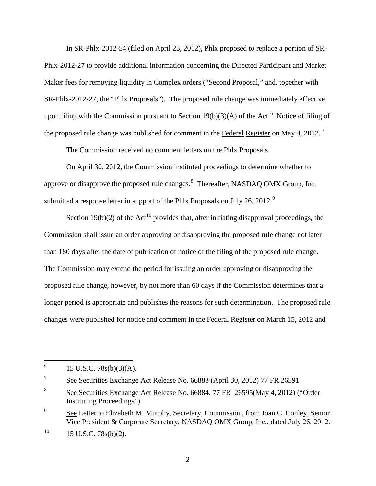In SR-Phlx-2012-54 (filed on April 23, 2012), Phlx proposed to replace a portion of SR-Phlx-2012-27 to provide additional information concerning the Directed Participant and Market Maker fees for removing liquidity in Complex orders ("Second Proposal," and, together with SR-Phlx-2012-27, the "Phlx Proposals"). The proposed rule change was immediately effective upon filing with the Commission pursuant to Section  $19(b)(3)(A)$  of the Act.<sup>[6](#page-1-0)</sup> Notice of filing of the proposed rule change was published for comment in the **Federal Register** on May 4, 2012.<sup>[7](#page-1-1)</sup>

The Commission received no comment letters on the Phlx Proposals.

On April 30, 2012, the Commission instituted proceedings to determine whether to approve or disapprove the proposed rule changes. $8$  Thereafter, NASDAQ OMX Group, Inc. submitted a response letter in support of the Phlx Proposals on July 26, 2012.<sup>[9](#page-1-3)</sup>

Section 19(b)(2) of the Act<sup>[10](#page-1-4)</sup> provides that, after initiating disapproval proceedings, the Commission shall issue an order approving or disapproving the proposed rule change not later than 180 days after the date of publication of notice of the filing of the proposed rule change. The Commission may extend the period for issuing an order approving or disapproving the proposed rule change, however, by not more than 60 days if the Commission determines that a longer period is appropriate and publishes the reasons for such determination. The proposed rule changes were published for notice and comment in the Federal Register on March 15, 2012 and

<span id="page-1-0"></span> $^{6}$  15 U.S.C. 78s(b)(3)(A).

<span id="page-1-1"></span><sup>7</sup> See Securities Exchange Act Release No. 66883 (April 30, 2012) 77 FR 26591.

<span id="page-1-2"></span><sup>8</sup> See Securities Exchange Act Release No. 66884, 77 FR 26595(May 4, 2012) ("Order Instituting Proceedings").

<span id="page-1-3"></span><sup>&</sup>lt;sup>9</sup> See Letter to Elizabeth M. Murphy, Secretary, Commission, from Joan C. Conley, Senior Vice President & Corporate Secretary, NASDAQ OMX Group, Inc., dated July 26, 2012.

<span id="page-1-4"></span> $10$  15 U.S.C. 78s(b)(2).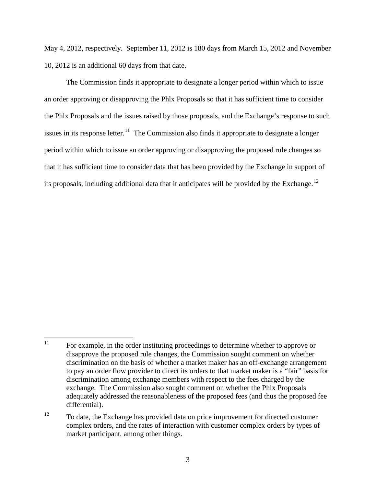May 4, 2012, respectively. September 11, 2012 is 180 days from March 15, 2012 and November 10, 2012 is an additional 60 days from that date.

The Commission finds it appropriate to designate a longer period within which to issue an order approving or disapproving the Phlx Proposals so that it has sufficient time to consider the Phlx Proposals and the issues raised by those proposals, and the Exchange's response to such issues in its response letter.<sup>11</sup> The Commission also finds it appropriate to designate a longer period within which to issue an order approving or disapproving the proposed rule changes so that it has sufficient time to consider data that has been provided by the Exchange in support of its proposals, including additional data that it anticipates will be provided by the Exchange.<sup>[12](#page-2-1)</sup>

<span id="page-2-0"></span><sup>&</sup>lt;sup>11</sup> For example, in the order instituting proceedings to determine whether to approve or disapprove the proposed rule changes, the Commission sought comment on whether discrimination on the basis of whether a market maker has an off-exchange arrangement to pay an order flow provider to direct its orders to that market maker is a "fair" basis for discrimination among exchange members with respect to the fees charged by the exchange. The Commission also sought comment on whether the Phlx Proposals adequately addressed the reasonableness of the proposed fees (and thus the proposed fee differential).

<span id="page-2-1"></span><sup>&</sup>lt;sup>12</sup> To date, the Exchange has provided data on price improvement for directed customer complex orders, and the rates of interaction with customer complex orders by types of market participant, among other things.